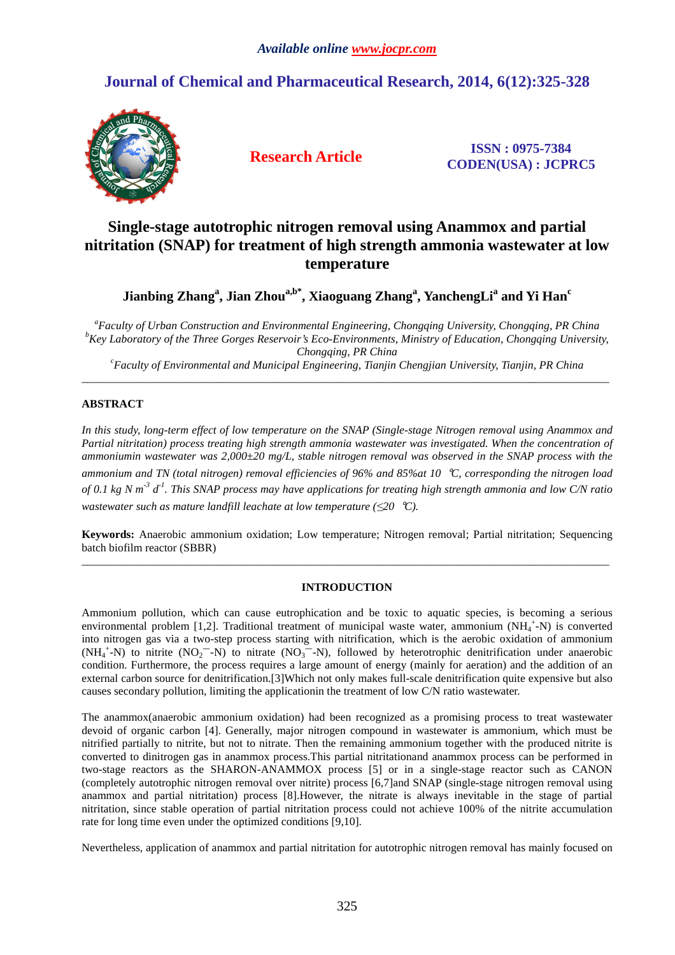# **Journal of Chemical and Pharmaceutical Research, 2014, 6(12):325-328**



**Research Article ISSN : 0975-7384 CODEN(USA) : JCPRC5**

# **Single-stage autotrophic nitrogen removal using Anammox and partial nitritation (SNAP) for treatment of high strength ammonia wastewater at low temperature**

**Jianbing Zhang<sup>a</sup> , Jian Zhoua,b\*, Xiaoguang Zhang<sup>a</sup> , YanchengLi<sup>a</sup> and Yi Han<sup>c</sup>**

*<sup>a</sup>Faculty of Urban Construction and Environmental Engineering, Chongqing University, Chongqing, PR China <sup>b</sup>Key Laboratory of the Three Gorges Reservoir's Eco-Environments, Ministry of Education, Chongqing University, Chongqing, PR China <sup>c</sup>Faculty of Environmental and Municipal Engineering, Tianjin Chengjian University, Tianjin, PR China* 

\_\_\_\_\_\_\_\_\_\_\_\_\_\_\_\_\_\_\_\_\_\_\_\_\_\_\_\_\_\_\_\_\_\_\_\_\_\_\_\_\_\_\_\_\_\_\_\_\_\_\_\_\_\_\_\_\_\_\_\_\_\_\_\_\_\_\_\_\_\_\_\_\_\_\_\_\_\_\_\_\_\_\_\_\_\_\_\_\_\_\_\_\_

# **ABSTRACT**

*In this study, long-term effect of low temperature on the SNAP (Single-stage Nitrogen removal using Anammox and Partial nitritation) process treating high strength ammonia wastewater was investigated. When the concentration of ammoniumin wastewater was 2,000±20 mg/L, stable nitrogen removal was observed in the SNAP process with the ammonium and TN (total nitrogen) removal efficiencies of 96% and 85%at 10* °*C, corresponding the nitrogen load of 0.1 kg N m-3 d-1. This SNAP process may have applications for treating high strength ammonia and low C/N ratio wastewater such as mature landfill leachate at low temperature (≤20* °*C).* 

**Keywords:** Anaerobic ammonium oxidation; Low temperature; Nitrogen removal; Partial nitritation; Sequencing batch biofilm reactor (SBBR) \_\_\_\_\_\_\_\_\_\_\_\_\_\_\_\_\_\_\_\_\_\_\_\_\_\_\_\_\_\_\_\_\_\_\_\_\_\_\_\_\_\_\_\_\_\_\_\_\_\_\_\_\_\_\_\_\_\_\_\_\_\_\_\_\_\_\_\_\_\_\_\_\_\_\_\_\_\_\_\_\_\_\_\_\_\_\_\_\_\_\_\_\_

# **INTRODUCTION**

Ammonium pollution, which can cause eutrophication and be toxic to aquatic species, is becoming a serious environmental problem [1,2]. Traditional treatment of municipal waste water, ammonium (NH<sub>4</sub>+N) is converted into nitrogen gas via a two-step process starting with nitrification, which is the aerobic oxidation of ammonium  $(NH_4^+$ -N) to nitrite  $(NO_2^{\text{-}}-N)$  to nitrate  $(NO_3^{\text{-}}-N)$ , followed by heterotrophic denitrification under anaerobic condition. Furthermore, the process requires a large amount of energy (mainly for aeration) and the addition of an external carbon source for denitrification.[3]Which not only makes full-scale denitrification quite expensive but also causes secondary pollution, limiting the applicationin the treatment of low C/N ratio wastewater.

The anammox(anaerobic ammonium oxidation) had been recognized as a promising process to treat wastewater devoid of organic carbon [4]. Generally, major nitrogen compound in wastewater is ammonium, which must be nitrified partially to nitrite, but not to nitrate. Then the remaining ammonium together with the produced nitrite is converted to dinitrogen gas in anammox process.This partial nitritationand anammox process can be performed in two-stage reactors as the SHARON-ANAMMOX process [5] or in a single-stage reactor such as CANON (completely autotrophic nitrogen removal over nitrite) process [6,7]and SNAP (single-stage nitrogen removal using anammox and partial nitritation) process [8].However, the nitrate is always inevitable in the stage of partial nitritation, since stable operation of partial nitritation process could not achieve 100% of the nitrite accumulation rate for long time even under the optimized conditions [9,10].

Nevertheless, application of anammox and partial nitritation for autotrophic nitrogen removal has mainly focused on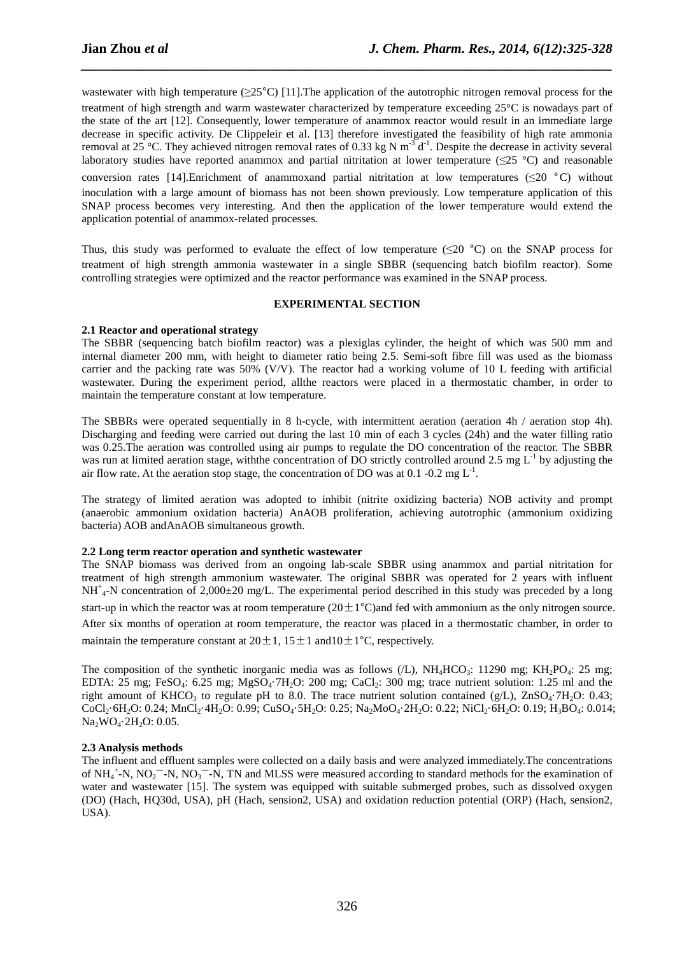wastewater with high temperature  $(\geq 25^{\circ}\text{C})$  [11]. The application of the autotrophic nitrogen removal process for the treatment of high strength and warm wastewater characterized by temperature exceeding 25°C is nowadays part of the state of the art [12]. Consequently, lower temperature of anammox reactor would result in an immediate large decrease in specific activity. De Clippeleir et al. [13] therefore investigated the feasibility of high rate ammonia removal at 25 °C. They achieved nitrogen removal rates of 0.33 kg N m<sup>-3</sup> d<sup>-1</sup>. Despite the decrease in activity several laboratory studies have reported anammox and partial nitritation at lower temperature (≤25 °C) and reasonable conversion rates [14].Enrichment of anammoxand partial nitritation at low temperatures ( $\leq 20$  °C) without inoculation with a large amount of biomass has not been shown previously. Low temperature application of this SNAP process becomes very interesting. And then the application of the lower temperature would extend the application potential of anammox-related processes.

*\_\_\_\_\_\_\_\_\_\_\_\_\_\_\_\_\_\_\_\_\_\_\_\_\_\_\_\_\_\_\_\_\_\_\_\_\_\_\_\_\_\_\_\_\_\_\_\_\_\_\_\_\_\_\_\_\_\_\_\_\_\_\_\_\_\_\_\_\_\_\_\_\_\_\_\_\_\_*

Thus, this study was performed to evaluate the effect of low temperature ( $\leq 20$  °C) on the SNAP process for treatment of high strength ammonia wastewater in a single SBBR (sequencing batch biofilm reactor). Some controlling strategies were optimized and the reactor performance was examined in the SNAP process.

# **EXPERIMENTAL SECTION**

## **2.1 Reactor and operational strategy**

The SBBR (sequencing batch biofilm reactor) was a plexiglas cylinder, the height of which was 500 mm and internal diameter 200 mm, with height to diameter ratio being 2.5. Semi-soft fibre fill was used as the biomass carrier and the packing rate was  $50\%$  (V/V). The reactor had a working volume of 10 L feeding with artificial wastewater. During the experiment period, allthe reactors were placed in a thermostatic chamber, in order to maintain the temperature constant at low temperature.

The SBBRs were operated sequentially in 8 h-cycle, with intermittent aeration (aeration 4h / aeration stop 4h). Discharging and feeding were carried out during the last 10 min of each 3 cycles (24h) and the water filling ratio was 0.25.The aeration was controlled using air pumps to regulate the DO concentration of the reactor. The SBBR was run at limited aeration stage, with the concentration of DO strictly controlled around 2.5 mg  $L^{-1}$  by adjusting the air flow rate. At the aeration stop stage, the concentration of DO was at 0.1 -0.2 mg  $L^{-1}$ .

The strategy of limited aeration was adopted to inhibit (nitrite oxidizing bacteria) NOB activity and prompt (anaerobic ammonium oxidation bacteria) AnAOB proliferation, achieving autotrophic (ammonium oxidizing bacteria) AOB andAnAOB simultaneous growth.

#### **2.2 Long term reactor operation and synthetic wastewater**

The SNAP biomass was derived from an ongoing lab-scale SBBR using anammox and partial nitritation for treatment of high strength ammonium wastewater. The original SBBR was operated for 2 years with influent NH<sup>+</sup><sub>4</sub>-N concentration of 2,000±20 mg/L. The experimental period described in this study was preceded by a long start-up in which the reactor was at room temperature  $(20 \pm 1)$ °C) and fed with ammonium as the only nitrogen source. After six months of operation at room temperature, the reactor was placed in a thermostatic chamber, in order to maintain the temperature constant at  $20 \pm 1$ ,  $15 \pm 1$  and  $10 \pm 1$ °C, respectively.

The composition of the synthetic inorganic media was as follows  $(L)$ , NH<sub>4</sub>HCO<sub>3</sub>: 11290 mg; KH<sub>2</sub>PO<sub>4</sub>: 25 mg; EDTA: 25 mg; FeSO<sub>4</sub>: 6.25 mg; MgSO<sub>4</sub>·7H<sub>2</sub>O: 200 mg; CaCl<sub>2</sub>: 300 mg; trace nutrient solution: 1.25 ml and the right amount of KHCO<sub>3</sub> to regulate pH to 8.0. The trace nutrient solution contained (g/L), ZnSO<sub>4</sub>·7H<sub>2</sub>O: 0.43; CoCl<sub>2</sub>·6H<sub>2</sub>O: 0.24; MnCl<sub>2</sub>·4H<sub>2</sub>O: 0.99; CuSO<sub>4</sub>·5H<sub>2</sub>O: 0.25; Na<sub>2</sub>MoO<sub>4</sub>·2H<sub>2</sub>O: 0.22; NiCl<sub>2</sub>·6H<sub>2</sub>O: 0.19; H<sub>3</sub>BO<sub>4</sub>: 0.014; Na<sub>2</sub>WO<sub>4</sub>·2H<sub>2</sub>O: 0.05.

#### **2.3 Analysis methods**

The influent and effluent samples were collected on a daily basis and were analyzed immediately.The concentrations of  $NH_4^+$ -N,  $NO_2^-$ -N,  $NO_3^-$ -N, TN and MLSS were measured according to standard methods for the examination of water and wastewater [15]. The system was equipped with suitable submerged probes, such as dissolved oxygen (DO) (Hach, HQ30d, USA), pH (Hach, sension2, USA) and oxidation reduction potential (ORP) (Hach, sension2, USA).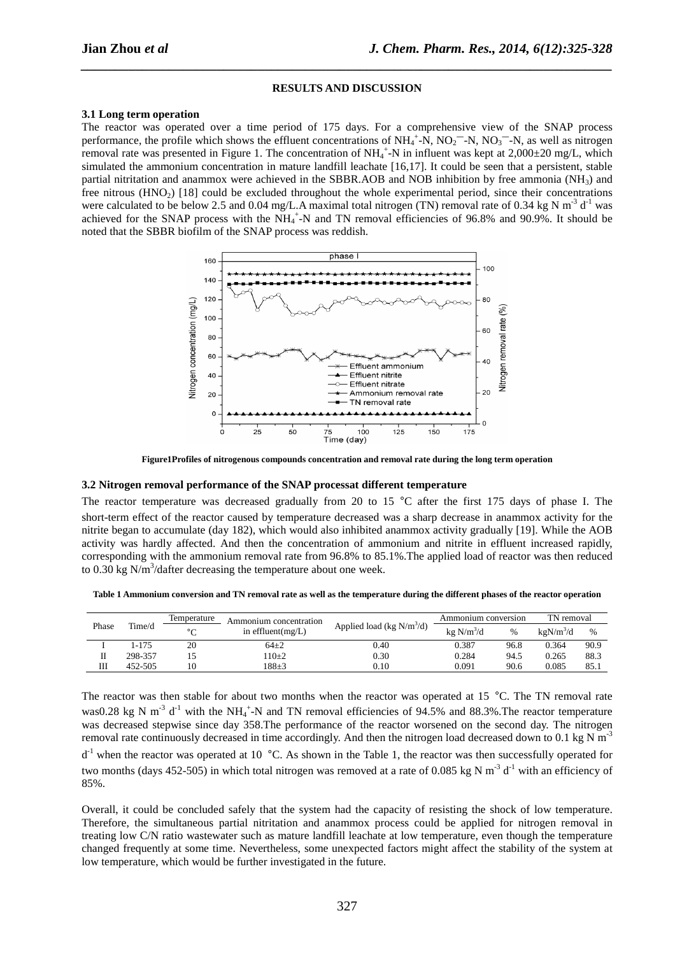#### **RESULTS AND DISCUSSION**

*\_\_\_\_\_\_\_\_\_\_\_\_\_\_\_\_\_\_\_\_\_\_\_\_\_\_\_\_\_\_\_\_\_\_\_\_\_\_\_\_\_\_\_\_\_\_\_\_\_\_\_\_\_\_\_\_\_\_\_\_\_\_\_\_\_\_\_\_\_\_\_\_\_\_\_\_\_\_*

#### **3.1 Long term operation**

The reactor was operated over a time period of 175 days. For a comprehensive view of the SNAP process performance, the profile which shows the effluent concentrations of  $NH_4^+$ -N,  $NO_2$ <sup>-</sup>-N,  $NO_3$ <sup>-</sup>-N, as well as nitrogen removal rate was presented in Figure 1. The concentration of  $NH_4^+$ -N in influent was kept at 2,000 $\pm$ 20 mg/L, which simulated the ammonium concentration in mature landfill leachate [16,17]. It could be seen that a persistent, stable partial nitritation and anammox were achieved in the SBBR.AOB and NOB inhibition by free ammonia (NH3) and free nitrous  $(HNO<sub>2</sub>)$  [18] could be excluded throughout the whole experimental period, since their concentrations were calculated to be below 2.5 and 0.04 mg/L.A maximal total nitrogen (TN) removal rate of 0.34 kg N m<sup>-3</sup> d<sup>-1</sup> was achieved for the SNAP process with the  $NH_4$ <sup>+</sup>-N and TN removal efficiencies of 96.8% and 90.9%. It should be noted that the SBBR biofilm of the SNAP process was reddish.



**Figure1Profiles of nitrogenous compounds concentration and removal rate during the long term operation**

## **3.2 Nitrogen removal performance of the SNAP processat different temperature**

The reactor temperature was decreased gradually from 20 to 15 °C after the first 175 days of phase I. The short-term effect of the reactor caused by temperature decreased was a sharp decrease in anammox activity for the nitrite began to accumulate (day 182), which would also inhibited anammox activity gradually [19]. While the AOB activity was hardly affected. And then the concentration of ammonium and nitrite in effluent increased rapidly, corresponding with the ammonium removal rate from 96.8% to 85.1%.The applied load of reactor was then reduced to 0.30 kg  $N/m^3$ /dafter decreasing the temperature about one week.

| Table 1 Ammonium conversion and TN removal rate as well as the temperature during the different phases of the reactor operation |  |  |  |  |
|---------------------------------------------------------------------------------------------------------------------------------|--|--|--|--|
|                                                                                                                                 |  |  |  |  |

| Phase |         | Temperature | Ammonium concentration |                              | Ammonium conversion |      | TN removal             |      |
|-------|---------|-------------|------------------------|------------------------------|---------------------|------|------------------------|------|
|       | Time/d  | $\sim$      | in effluent $(mg/L)$   | Applied load (kg $N/m^3/d$ ) | $kg N/m^3/d$        | $\%$ | $k \cdot \rho N/m^3/d$ | $\%$ |
|       | 1-175   | 20          | $64+2$                 | 0.40                         | 0.387               | 96.8 | 0.364                  | 90.9 |
| П     | 298-357 |             | $110+2$                | 0.30                         | 0.284               | 94.5 | 0.265                  | 88.3 |
| Ш     | 452-505 | 10          | 188±3                  | 0.10                         | 0.091               | 90.6 | 0.085                  | 85.1 |

The reactor was then stable for about two months when the reactor was operated at 15 °C. The TN removal rate was0.28 kg N  $m<sup>-3</sup> d<sup>-1</sup>$  with the NH<sub>4</sub><sup>+</sup>-N and TN removal efficiencies of 94.5% and 88.3%. The reactor temperature was decreased stepwise since day 358.The performance of the reactor worsened on the second day. The nitrogen removal rate continuously decreased in time accordingly. And then the nitrogen load decreased down to 0.1 kg N  $m<sup>-3</sup>$ 

 $d<sup>-1</sup>$  when the reactor was operated at 10  $^{\circ}$ C. As shown in the Table 1, the reactor was then successfully operated for two months (days 452-505) in which total nitrogen was removed at a rate of 0.085 kg N  $m^{-3}$  d<sup>-1</sup> with an efficiency of 85%.

Overall, it could be concluded safely that the system had the capacity of resisting the shock of low temperature. Therefore, the simultaneous partial nitritation and anammox process could be applied for nitrogen removal in treating low C/N ratio wastewater such as mature landfill leachate at low temperature, even though the temperature changed frequently at some time. Nevertheless, some unexpected factors might affect the stability of the system at low temperature, which would be further investigated in the future.